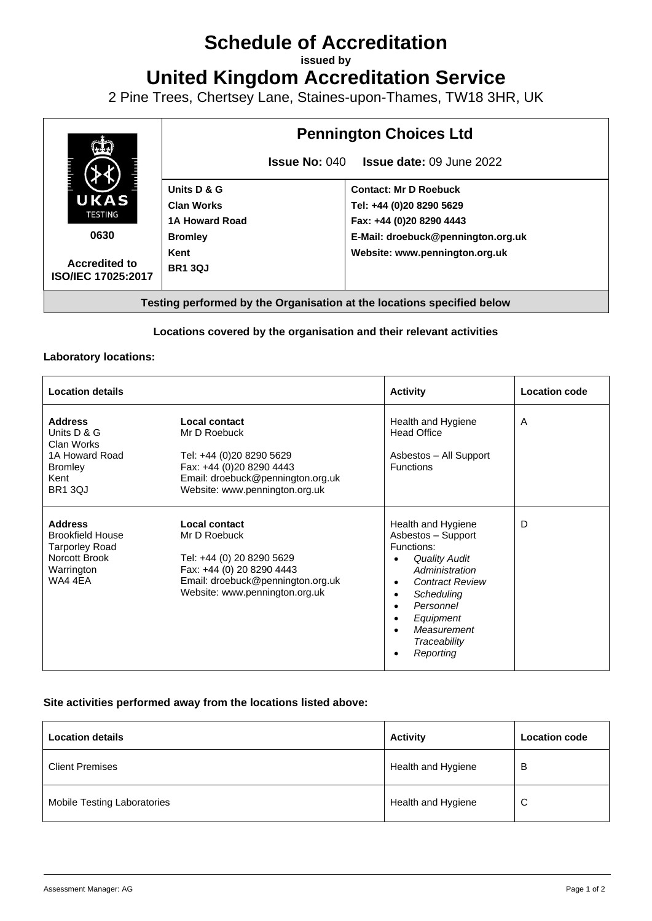# **Schedule of Accreditation**

**issued by**

**United Kingdom Accreditation Service**

2 Pine Trees, Chertsey Lane, Staines-upon-Thames, TW18 3HR, UK



### **Locations covered by the organisation and their relevant activities**

#### **Laboratory locations:**

| <b>Location details</b>                                                                                      |                                                                                                                                                                | <b>Activity</b>                                                                                                                                                                                                                                       | <b>Location code</b> |
|--------------------------------------------------------------------------------------------------------------|----------------------------------------------------------------------------------------------------------------------------------------------------------------|-------------------------------------------------------------------------------------------------------------------------------------------------------------------------------------------------------------------------------------------------------|----------------------|
| <b>Address</b><br>Units D & G<br>Clan Works<br>1A Howard Road<br><b>Bromley</b><br>Kent<br><b>BR1 3QJ</b>    | Local contact<br>Mr D Roebuck<br>Tel: +44 (0)20 8290 5629<br>Fax: +44 (0)20 8290 4443<br>Email: droebuck@pennington.org.uk<br>Website: www.pennington.org.uk   | Health and Hygiene<br>Head Office<br>Asbestos - All Support<br><b>Functions</b>                                                                                                                                                                       | A                    |
| <b>Address</b><br><b>Brookfield House</b><br><b>Tarporley Road</b><br>Norcott Brook<br>Warrington<br>WA4 4EA | Local contact<br>Mr D Roebuck<br>Tel: +44 (0) 20 8290 5629<br>Fax: +44 (0) 20 8290 4443<br>Email: droebuck@pennington.org.uk<br>Website: www.pennington.org.uk | Health and Hygiene<br>Asbestos - Support<br>Functions:<br><b>Quality Audit</b><br>Administration<br><b>Contract Review</b><br>Scheduling<br>$\bullet$<br>Personnel<br>$\bullet$<br>Equipment<br>$\bullet$<br>Measurement<br>Traceability<br>Reporting | D                    |

#### **Site activities performed away from the locations listed above:**

| <b>Location details</b>     | <b>Activity</b>    | <b>Location code</b> |
|-----------------------------|--------------------|----------------------|
| <b>Client Premises</b>      | Health and Hygiene | В                    |
| Mobile Testing Laboratories | Health and Hygiene | C                    |